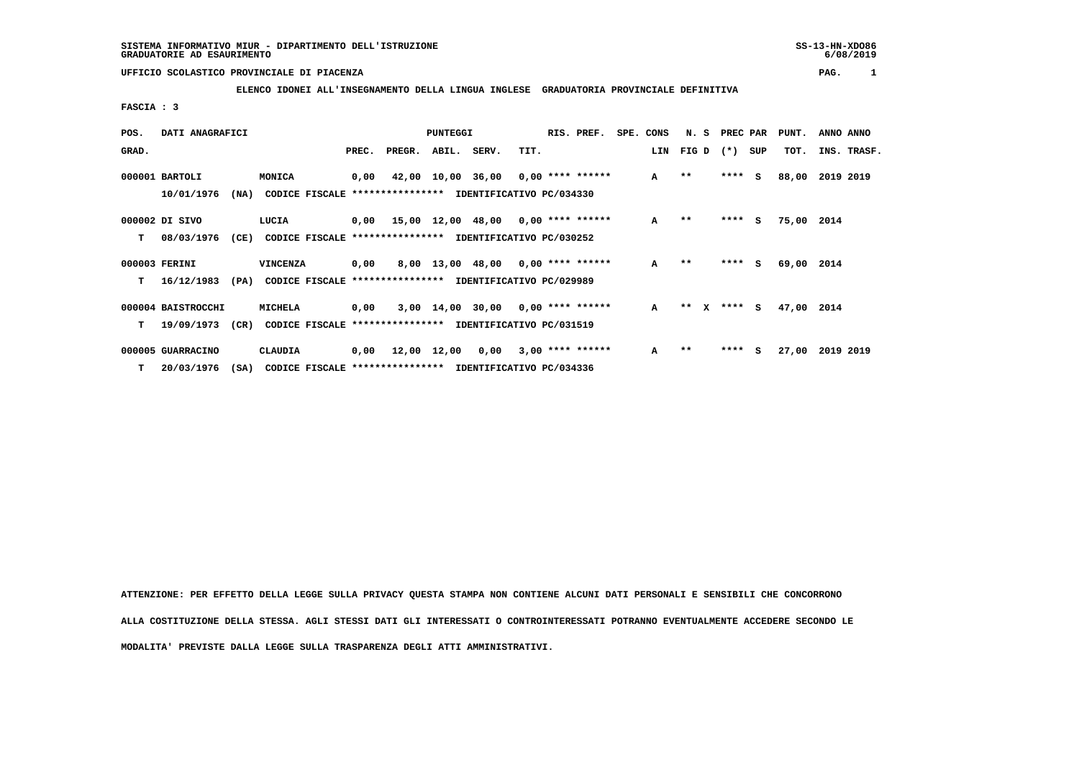$6/08/2019$ 

## **UFFICIO SCOLASTICO PROVINCIALE DI PIACENZA PAG. 1**

 **ELENCO IDONEI ALL'INSEGNAMENTO DELLA LINGUA INGLESE GRADUATORIA PROVINCIALE DEFINITIVA**

 **FASCIA : 3**

| POS.  | DATI ANAGRAFICI    |      |                                                          | <b>PUNTEGGI</b> |                    |  |                                           |      | RIS. PREF. | SPE. CONS    | N. S              | PREC PAR |    | PUNT.      | ANNO ANNO   |
|-------|--------------------|------|----------------------------------------------------------|-----------------|--------------------|--|-------------------------------------------|------|------------|--------------|-------------------|----------|----|------------|-------------|
| GRAD. |                    |      |                                                          | PREC.           | PREGR. ABIL. SERV. |  |                                           | TIT. |            |              | LIN FIG D (*) SUP |          |    | TOT.       | INS. TRASF. |
|       | 000001 BARTOLI     |      | MONICA                                                   | 0,00            |                    |  | 42,00 10,00 36,00 0,00 **** ******        |      |            | $\mathbf{A}$ | $* *$             | $***$ S  |    | 88,00      | 2019 2019   |
|       | 10/01/1976         | (NA) | CODICE FISCALE **************** IDENTIFICATIVO PC/034330 |                 |                    |  |                                           |      |            |              |                   |          |    |            |             |
|       | 000002 DI SIVO     |      | LUCIA                                                    |                 |                    |  | $0,00$ 15,00 12,00 48,00 0,00 **** ****** |      |            | $\mathbf{A}$ | $* *$             | $***$ S  |    | 75,00 2014 |             |
| т     | 08/03/1976         | (CE) | CODICE FISCALE **************** IDENTIFICATIVO PC/030252 |                 |                    |  |                                           |      |            |              |                   |          |    |            |             |
|       | 000003 FERINI      |      | <b>VINCENZA</b>                                          | 0,00            |                    |  | 8,00 13,00 48,00 0,00 **** ******         |      |            | $\mathbf{A}$ | $***$             | ****     | S. | 69,00 2014 |             |
| т     | 16/12/1983         | (PA) | CODICE FISCALE **************** IDENTIFICATIVO PC/029989 |                 |                    |  |                                           |      |            |              |                   |          |    |            |             |
|       | 000004 BAISTROCCHI |      | MICHELA                                                  | 0,00            |                    |  | $3,00$ 14,00 30,00 0,00 **** ******       |      |            | $\mathbf{A}$ | ** x **** S       |          |    | 47,00 2014 |             |
| т     | 19/09/1973         | (CR) | CODICE FISCALE **************** IDENTIFICATIVO PC/031519 |                 |                    |  |                                           |      |            |              |                   |          |    |            |             |
|       | 000005 GUARRACINO  |      | CLAUDIA                                                  |                 |                    |  | $0,00$ 12,00 12,00 0,00 3,00 **** ******  |      |            | A            | $* *$             | ****     | s  | 27,00      | 2019 2019   |
| т     | 20/03/1976         | (SA) | CODICE FISCALE **************** IDENTIFICATIVO PC/034336 |                 |                    |  |                                           |      |            |              |                   |          |    |            |             |

 **ATTENZIONE: PER EFFETTO DELLA LEGGE SULLA PRIVACY QUESTA STAMPA NON CONTIENE ALCUNI DATI PERSONALI E SENSIBILI CHE CONCORRONO ALLA COSTITUZIONE DELLA STESSA. AGLI STESSI DATI GLI INTERESSATI O CONTROINTERESSATI POTRANNO EVENTUALMENTE ACCEDERE SECONDO LE MODALITA' PREVISTE DALLA LEGGE SULLA TRASPARENZA DEGLI ATTI AMMINISTRATIVI.**